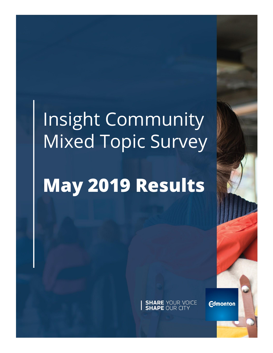# Insight Community Mixed Topic Survey

# **May 2019 Results**

**SHARE YOUR VOICE**<br>**SHAPE OUR CITY** 

**Edmonton**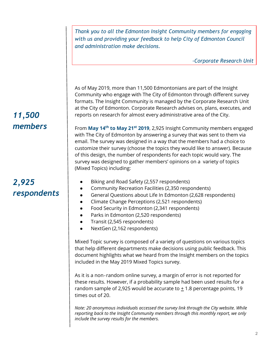*Thank you to all the Edmonton Insight Community members for engaging with us and providing your feedback to help City of Edmonton Council and administration make decisions.* 

*-Corporate Research Unit*

As of May 2019, more than 11,500 Edmontonians are part of the Insight Community who engage with The City of Edmonton through different survey formats. The Insight Community is managed by the Corporate Research Unit at the City of Edmonton. Corporate Research advises on, plans, executes, and reports on research for almost every administrative area of the City.

From **May 14th to May 21st 2019**, 2,925 Insight Community members engaged with The City of Edmonton by answering a survey that was sent to them via email. The survey was designed in a way that the members had a choice to customize their survey (choose the topics they would like to answer). Because of this design, the number of respondents for each topic would vary. The survey was designed to gather members' opinions on a variety of topics (Mixed Topics) including:

- Biking and Road Safety (2,557 respondents)
- Community Recreation Facilities (2,350 respondents)
- General Questions about Life In Edmonton (2,628 respondents)
- Climate Change Perceptions (2,521 respondents)
- Food Security in Edmonton (2,341 respondents)
- Parks in Edmonton (2,520 respondents)
- Transit (2,545 respondents)
- NextGen (2,162 respondents)

Mixed Topic survey is composed of a variety of questions on various topics that help different departments make decisions using public feedback. This document highlights what we heard from the Insight members on the topics included in the May 2019 Mixed Topics survey.

As it is a non‐random online survey, a margin of error is not reported for these results. However, if a probability sample had been used results for a random sample of 2,925 would be accurate to  $\pm$  1.8 percentage points, 19 times out of 20.

*Note: 20 anonymous individuals accessed the survey link through the City website. While reporting back to the Insight Community members through this monthly report, we only include the survey results for the members.*

# *11,500 members*

# *2,925 respondents*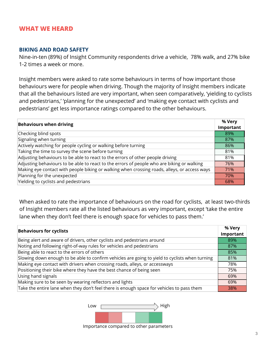#### **BIKING AND ROAD SAFETY**

Nine-in-ten (89%) of Insight Community respondents drive a vehicle, 78% walk, and 27% bike 1-2 times a week or more.

Insight members were asked to rate some behaviours in terms of how important those behaviours were for people when driving. Though the majority of Insight members indicate that all the behaviours listed are very important, when seen comparatively, 'yielding to cyclists and pedestrians,' 'planning for the unexpected' and 'making eye contact with cyclists and pedestrians' get less importance ratings compared to the other behaviours.

| <b>Behaviours when driving</b>                                                               | % Very |
|----------------------------------------------------------------------------------------------|--------|
|                                                                                              |        |
| Checking blind spots                                                                         | 89%    |
| Signaling when turning                                                                       | 87%    |
| Actively watching for people cycling or walking before turning                               | 86%    |
| Taking the time to survey the scene before turning                                           | 81%    |
| Adjusting behaviours to be able to react to the errors of other people driving               | 81%    |
| Adjusting behaviours to be able to react to the errors of people who are biking or walking   | 76%    |
| Making eye contact with people biking or walking when crossing roads, alleys, or access ways | 71%    |
| Planning for the unexpected                                                                  | 70%    |
| Yielding to cyclists and pedestrians                                                         | 68%    |

When asked to rate the importance of behaviours on the road for cyclists, at least two-thirds of Insight members rate all the listed behaviours as very important, except 'take the entire lane when they don't feel there is enough space for vehicles to pass them.'

| % Very    |
|-----------|
| Important |
| 89%       |
| 87%       |
| 85%       |
| 81%       |
| 78%       |
| 75%       |
| 69%       |
| 69%       |
| 38%       |
|           |



Importance compared to other parameters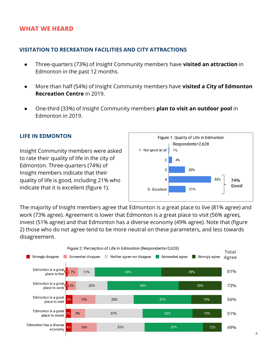## **VISITATION TO RECREATION FACILITIES AND CITY ATTRACTIONS**

- Three-quarters (73%) of Insight Community members have **visited an attraction** in Edmonton in the past 12 months.
- More than half (54%) of Insight Community members have **visited a City of Edmonton Recreation Centre** in 2019.
- One-third (33%) of Insight Community members **plan to visit an outdoor pool** in Edmonton in 2019.

### **LIFE IN EDMONTON**

Insight Community members were asked to rate their quality of life in the city of Edmonton. Three-quarters (74%) of Insight members indicate that their quality of life is good, including 21% who indicate that it is excellent (figure 1).



The majority of Insight members agree that Edmonton is a great place to live (81% agree) and work (73% agree). Agreement is lower that Edmonton is a great place to visit (56% agree), invest (51% agree) and that Edmonton has a diverse economy (49% agree). Note that (figure 2) those who do not agree tend to be more neutral on these parameters, and less towards disagreement.

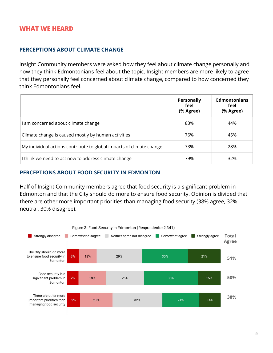## **PERCEPTIONS ABOUT CLIMATE CHANGE**

Insight Community members were asked how they feel about climate change personally and how they think Edmontonians feel about the topic. Insight members are more likely to agree that they personally feel concerned about climate change, compared to how concerned they think Edmontonians feel.

|                                                                      | <b>Personally</b><br>feel<br>(% Agree) | <b>Edmontonians</b><br>feel<br>(% Agree) |
|----------------------------------------------------------------------|----------------------------------------|------------------------------------------|
| I am concerned about climate change                                  | 83%                                    | 44%                                      |
| Climate change is caused mostly by human activities                  | 76%                                    | 45%                                      |
| My individual actions contribute to global impacts of climate change | 73%                                    | 28%                                      |
| I think we need to act now to address climate change                 | 79%                                    | 32%                                      |

### **PERCEPTIONS ABOUT FOOD SECURITY IN EDMONTON**

Half of Insight Community members agree that food security is a significant problem in Edmonton and that the City should do more to ensure food security. Opinion is divided that there are other more important priorities than managing food security (38% agree, 32% neutral, 30% disagree).

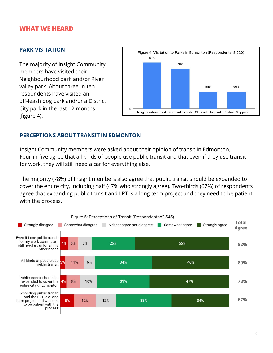#### **PARK VISITATION**

The majority of Insight Community members have visited their Neighbourhood park and/or River valley park. About three-in-ten respondents have visited an off-leash dog park and/or a District City park in the last 12 months (figure 4).



### **PERCEPTIONS ABOUT TRANSIT IN EDMONTON**

Insight Community members were asked about their opinion of transit in Edmonton. Four-in-five agree that all kinds of people use public transit and that even if they use transit for work, they will still need a car for everything else.

The majority (78%) of Insight members also agree that public transit should be expanded to cover the entire city, including half (47% who strongly agree). Two-thirds (67%) of respondents agree that expanding public transit and LRT is a long term project and they need to be patient with the process.

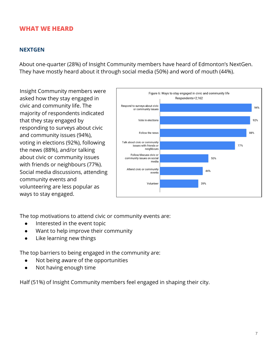#### **NEXTGEN**

About one-quarter (28%) of Insight Community members have heard of Edmonton's NextGen. They have mostly heard about it through social media (50%) and word of mouth (44%).

Insight Community members were asked how they stay engaged in civic and community life. The majority of respondents indicated that they stay engaged by responding to surveys about civic and community issues (94%), voting in elections (92%), following the news (88%), and/or talking about civic or community issues with friends or neighbours (77%). Social media discussions, attending community events and volunteering are less popular as ways to stay engaged.



The top motivations to attend civic or community events are:

- Interested in the event topic
- Want to help improve their community
- Like learning new things

The top barriers to being engaged in the community are:

- Not being aware of the opportunities
- Not having enough time

Half (51%) of Insight Community members feel engaged in shaping their city.